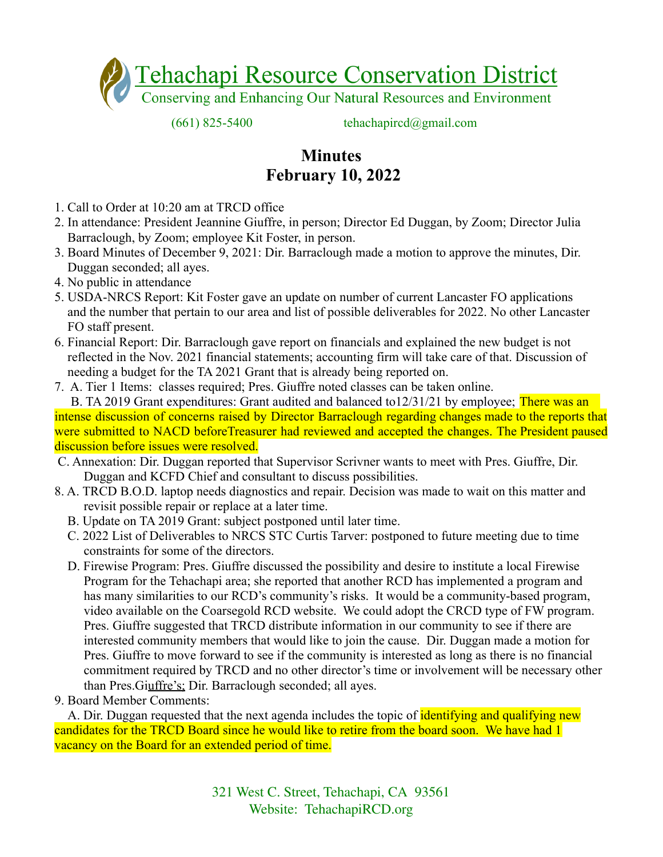

 $(661)$  825-5400 tehachapircd $(a)$ gmail.com

## **Minutes February 10, 2022**

- 1. Call to Order at 10:20 am at TRCD office
- 2. In attendance: President Jeannine Giuffre, in person; Director Ed Duggan, by Zoom; Director Julia Barraclough, by Zoom; employee Kit Foster, in person.
- 3. Board Minutes of December 9, 2021: Dir. Barraclough made a motion to approve the minutes, Dir. Duggan seconded; all ayes.
- 4. No public in attendance
- 5. USDA-NRCS Report: Kit Foster gave an update on number of current Lancaster FO applications and the number that pertain to our area and list of possible deliverables for 2022. No other Lancaster FO staff present.
- 6. Financial Report: Dir. Barraclough gave report on financials and explained the new budget is not reflected in the Nov. 2021 financial statements; accounting firm will take care of that. Discussion of needing a budget for the TA 2021 Grant that is already being reported on.
- 7. A. Tier 1 Items: classes required; Pres. Giuffre noted classes can be taken online.

B. TA 2019 Grant expenditures: Grant audited and balanced to 12/31/21 by employee; There was an intense discussion of concerns raised by Director Barraclough regarding changes made to the reports that were submitted to NACD beforeTreasurer had reviewed and accepted the changes. The President paused discussion before issues were resolved.

- C. Annexation: Dir. Duggan reported that Supervisor Scrivner wants to meet with Pres. Giuffre, Dir. Duggan and KCFD Chief and consultant to discuss possibilities.
- 8. A. TRCD B.O.D. laptop needs diagnostics and repair. Decision was made to wait on this matter and revisit possible repair or replace at a later time.
	- B. Update on TA 2019 Grant: subject postponed until later time.
	- C. 2022 List of Deliverables to NRCS STC Curtis Tarver: postponed to future meeting due to time constraints for some of the directors.
	- D. Firewise Program: Pres. Giuffre discussed the possibility and desire to institute a local Firewise Program for the Tehachapi area; she reported that another RCD has implemented a program and has many similarities to our RCD's community's risks. It would be a community-based program, video available on the Coarsegold RCD website. We could adopt the CRCD type of FW program. Pres. Giuffre suggested that TRCD distribute information in our community to see if there are interested community members that would like to join the cause. Dir. Duggan made a motion for Pres. Giuffre to move forward to see if the community is interested as long as there is no financial commitment required by TRCD and no other director's time or involvement will be necessary other than Pres.Giuffre's; Dir. Barraclough seconded; all ayes.
- 9. Board Member Comments:

A. Dir. Duggan requested that the next agenda includes the topic of **identifying and qualifying new** candidates for the TRCD Board since he would like to retire from the board soon. We have had 1 vacancy on the Board for an extended period of time.

> 321 West C. Street, Tehachapi, CA 93561 Website: TehachapiRCD.org